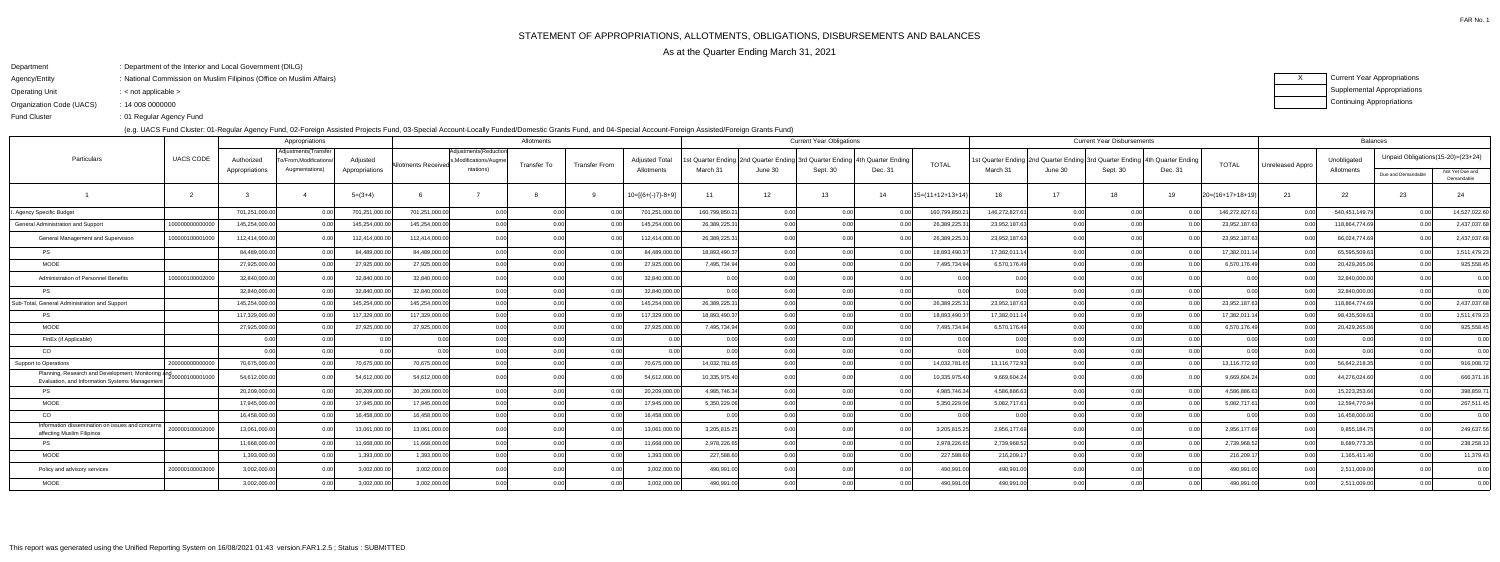Agency/Entity: National Commission on Muslim Filipinos (Office on Muslim Affairs) FAR No. 1

ending the U.S. of Regular Agency Fund Fund Cluster

XCurrent Year Appropriations Supplemental AppropriationsContinuing Appropriations

| : Department of the Interior and Local Government (DILG)<br>Department |
|------------------------------------------------------------------------|
|------------------------------------------------------------------------|

Operating Unit < not applicable >:

Organization Code (UACS)14 008 0000000:

(e.g. UACS Fund Cluster: 01-Regular Agency Fund, 02-Foreign Assisted Projects Fund, 03-Special Account-Locally Funded/Domestic Grants Fund, and 04-Special Account-Foreign Assisted/Foreign Grants Fund)

|                                                                                                      |                  |                | Appropriations<br>Allotments                  |                |                     |                                                |                |                      |                       |                |         |                                                                            |         | <b>Current Year Disbursements</b> |               | <b>Balances</b> |                                                                               |         |                   |                  |                |                                   |                               |
|------------------------------------------------------------------------------------------------------|------------------|----------------|-----------------------------------------------|----------------|---------------------|------------------------------------------------|----------------|----------------------|-----------------------|----------------|---------|----------------------------------------------------------------------------|---------|-----------------------------------|---------------|-----------------|-------------------------------------------------------------------------------|---------|-------------------|------------------|----------------|-----------------------------------|-------------------------------|
| Particulars                                                                                          | <b>UACS CODE</b> | Authorized     | Adjustments(Transfer<br>o/From,Modifications/ | Adjusted       | Allotments Received | Adjustments(Reduction<br>s,Modifications/Augme | Transfer To    | <b>Transfer From</b> | <b>Adjusted Total</b> |                |         | st Quarter Ending 2nd Quarter Ending 3rd Quarter Ending 4th Quarter Ending |         | <b>TOTAL</b>                      |               |                 | 1st Quarter Ending 2nd Quarter Ending 3rd Quarter Ending   4th Quarter Ending |         | <b>TOTAL</b>      | Unreleased Appro | Unobligated    | Unpaid Obligations(15-20)=(23+24) |                               |
|                                                                                                      |                  | Appropriations | Augmentations)                                | Appropriations |                     | ntations)                                      |                |                      | Allotments            | March 31       | June 30 | Sept. 30                                                                   | Dec. 31 |                                   | March 31      | June 30         | Sept. 30                                                                      | Dec. 31 |                   |                  | Allotments     | Due and Demandable                | Not Yet Due and<br>Demandable |
|                                                                                                      |                  |                |                                               | $5=(3+4)$      |                     |                                                |                |                      | $10=[{6+(-)}7-8+9]$   | 11             | 12      | 13                                                                         | 14      | $15=(11+12+13+14)$                | 16            | 17              | 18                                                                            | 19      | $20=(16+17+18+19$ | 21               | 22             | 23                                | 24                            |
| Agency Specific Budget                                                                               |                  | 701,251,000.00 |                                               | 701,251,000.00 | 701,251,000.0       | 0.00                                           | 0.00           |                      | 701,251,000.00        | 160,799,850.21 | 0.00    | 0.00                                                                       |         | 160,799,850.21                    | 146,272,827.6 | 0.00            | 0.OC                                                                          |         | 146,272,827.6     | 0.00             | 540,451,149.79 | 0.00                              | 14,527,022.60                 |
| General Administration and Support                                                                   | 1000000000000    | 145,254,000.00 |                                               | 145,254,000.00 | 145,254,000.0       | 0.00                                           |                |                      | 145,254,000.00        | 26,389,225.31  | 0.00    | 0.00                                                                       |         | 26,389,225.3                      | 23,952,187.63 | 0.00            | 0.00                                                                          |         | 23,952,187.63     | 0.00             | 118,864,774.69 | 0.00                              | 2,437,037.68                  |
| <b>General Management and Supervision</b>                                                            | 10000010000100   | 112,414,000.00 |                                               | 112,414,000.0  | 112.414.000.0       | 0.00                                           | 0 <sup>0</sup> | 0 <sub>0</sub>       | 112,414,000.00        | 26,389,225.31  | 0.00    | 0.00                                                                       |         | 26,389,225.3                      | 23,952,187.63 |                 | n nr                                                                          |         | 23,952,187.63     | 0.00             | 86,024,774.69  | 0.00                              | 2,437,037.68                  |
| <b>PS</b>                                                                                            |                  | 84,489,000.00  |                                               | 84,489,000.00  | 84,489,000.0        | 0.00                                           | 0.00           | 0.00                 | 84,489,000.00         | 18,893,490.37  | 0.00    | 0.00                                                                       |         | 18,893,490.3                      | 17,382,011.1  | 0.001           | 0.00                                                                          |         | 17,382,011.14     | 0.00             | 65,595,509.63  | 0.00                              | 1,511,479.23                  |
| <b>MOOE</b>                                                                                          |                  | 27,925,000.00  |                                               | 27,925,000.00  | 27,925,000.0        | 0.00                                           | 0.00           |                      | 27,925,000.00         | 7,495,734.94   | 0.00    | 0.00                                                                       |         | 7,495,734.9                       | 6,570,176.49  | n onl           | 0.00                                                                          |         | 6,570,176.49      | 0.00             | 20,429,265.06  | 0.00l                             | 925,558.45                    |
| Administration of Personnel Benefits                                                                 | 10000010000200   | 32,840,000.00  |                                               | 32,840,000.0   | 32,840,000.0        | 0.00                                           |                |                      | 32,840,000.00         | 0.00           |         |                                                                            |         |                                   |               |                 |                                                                               |         | - 0.00            |                  | 32,840,000.0   |                                   | 0.00                          |
|                                                                                                      |                  | 32,840,000.00  |                                               | 32,840,000.00  | 32,840,000.0        | 0.00                                           | 0.00           | 0 <sub>0</sub>       | 32,840,000.00         | 0.00           | 0.00    | 0.00                                                                       |         | 0.00                              |               |                 | 0.00                                                                          |         | 0.00              |                  | 32,840,000.00  | 0.00 <sub>l</sub>                 | 0.00                          |
| Sub-Total, General Administration and Support                                                        |                  | 145,254,000.00 |                                               | 145,254,000.0  | 145,254,000.0       | 0.00                                           |                |                      | 145,254,000.00        | 26,389,225.31  |         |                                                                            |         | 26,389,225.3                      | 23,952,187.63 |                 |                                                                               |         | 23,952,187.63     |                  | 118,864,774.69 | 0.00 <sub>l</sub>                 | 2,437,037.68                  |
| <b>PS</b>                                                                                            |                  | 117,329,000.00 |                                               | 117,329,000.0  | 117,329,000.0       | 0.00                                           | 0.OC           |                      | 117,329,000.00        | 18,893,490.37  | 0.00    | 0.00                                                                       |         | 18,893,490.3                      | 17,382,011.14 |                 |                                                                               |         | 17,382,011.1      | 0.0              | 98,435,509.6   | 0.00                              | 1,511,479.23                  |
| MOOE                                                                                                 |                  | 27,925,000.00  |                                               | 27,925,000.00  | 27,925,000.0        | 0.00                                           |                |                      | 27,925,000.00         | 7,495,734.94   |         | 0.00                                                                       |         | 7,495,734.9                       | 6,570,176.49  |                 |                                                                               |         | 6,570,176.49      |                  | 20,429,265.06  |                                   | 925,558.45                    |
| FinEx (if Applicable)                                                                                |                  |                |                                               |                |                     | 0.00                                           |                |                      |                       | 0.00           | 0.00    | 0.00                                                                       |         |                                   |               |                 | n nr                                                                          |         | 0.00              |                  |                |                                   | 0.00                          |
| CO                                                                                                   |                  |                |                                               |                |                     | 0.00                                           |                |                      |                       |                |         |                                                                            |         |                                   |               |                 |                                                                               |         |                   | 0.00             |                |                                   | 0.00                          |
| Support to Operations                                                                                | 20000000000      | 70,675,000.00  |                                               | 70,675,000.00  | 70,675,000.0        | 0.00                                           | 0 <sup>0</sup> | 0.00                 | 70,675,000.00         | 14,032,781.65  | 0.00    | 0.00                                                                       |         | 14,032,781.6                      | 13,116,772.93 |                 | n nr                                                                          |         | 13,116,772.93     | 0.00             | 56,642,218.35  | 0.00                              | 916,008.72                    |
| Planning, Research and Development, Monitoring and<br>Evaluation, and Information Systems Management | 200000100001000  | 54,612,000.00  |                                               | 54,612,000.00  | 54,612,000.0        | 0.00                                           | 0.00           |                      | 54,612,000.00         | 10,335,975.40  | 0.00L   | 0.00                                                                       |         | 10,335,975.40                     | 9,669,604.24  |                 | 0.00                                                                          |         | 9,669,604.24      | 0.00             | 44,276,024.60  | 0.00 <sub>l</sub>                 | 666,371.16                    |
| <b>PS</b>                                                                                            |                  | 20,209,000.00  |                                               | 20,209,000.0   | 20,209,000.0        | 0.00                                           | 0.OC           |                      | 20,209,000.00         | 4,985,746.34   | 0.00    | 0.00                                                                       |         | 4,985,746.3                       | 4,586,886.63  | n nn            |                                                                               |         | 4,586,886.63      | . റ റ            | 15,223,253.66  | 0.00                              | 398,859.71                    |
| <b>MOOE</b>                                                                                          |                  | 17,945,000.00  |                                               | 17,945,000.0   | 17,945,000.0        | 0.00                                           |                |                      | 17,945,000.00         | 5,350,229.06   | 0.00    | 0.00                                                                       |         | 5,350,229.06                      | 5,082,717.6   | 0.00            | n nr                                                                          |         | 5,082,717.6       |                  | 12,594,770.94  | 0.00 <sub>l</sub>                 | 267,511.45                    |
| CO                                                                                                   |                  | 16,458,000.00  |                                               | 16,458,000.00  | 16,458,000.0        | 0.00                                           | 0.OC           |                      | 16,458,000.00         | 0.00           | 0.00    | 0.00                                                                       |         | 0 O                               |               |                 | n ool                                                                         |         | 0.00              |                  | 16,458,000.00  | 0.00 <sub>l</sub>                 | 0.00                          |
| Information dissemination on issues and concerns<br>affecting Muslim Filipinos                       | 20000010000200   | 13,061,000.00  |                                               | 13,061,000.0   | 13,061,000.0        | 0.00                                           |                |                      | 13,061,000.00         | 3,205,815.25   |         |                                                                            |         | 3,205,815.25                      | 2,956,177.69  |                 |                                                                               |         | 2,956,177.69      | റ റ              | 9,855,184.7    | 0.00                              | 249,637.56                    |
|                                                                                                      |                  | 11,668,000.00  |                                               | 11,668,000.00  | 11,668,000.0        | 0.00                                           | 0.OC           | 0 <sub>0</sub>       | 11,668,000.00         | 2,978,226.65   | 0.00    | 0.00                                                                       |         | 2,978,226.65                      | 2,739,968.52  | n ool           | n nr                                                                          |         | 2,739,968.52      | 0.00             | 8,689,773.3    | 0.00                              | 238,258.13                    |
| <b>MOOE</b>                                                                                          |                  | 1,393,000.00   |                                               | 1,393,000.00   | 1,393,000.0         | 0.00                                           | 0 <sup>0</sup> |                      | 1,393,000.00          | 227,588.60     | 0.00    | 0.00                                                                       |         | 227,588.6                         | 216,209.1     | 0.00            |                                                                               |         | 216,209.17        | . റ റ            | 1,165,411.4    | 0.00 <sub>l</sub>                 | 11,379.43                     |
| Policy and advisory services                                                                         | 20000010000300   | 3,002,000.00   |                                               | 3,002,000.00   | 3,002,000.0         | 0.00                                           |                |                      | 3,002,000.00          | 490,991.00     |         |                                                                            |         | 490,991.0                         | 490,991.00    |                 |                                                                               |         | 490,991.00        | . റ റ            | 2,511,009.00   |                                   | 0.00                          |
| MOOE                                                                                                 |                  | 3,002,000.00   |                                               | 3,002,000.00   | 3,002,000.00        | 0.001                                          | 0.00           | 0.00                 | 3,002,000.00          | 490,991.00     | n nnl   | 0.001                                                                      |         | 490.991.00                        | 490,991.00    | 0.00            | n onl                                                                         |         | 490,991.00        | 0.00             | 2,511,009.00   | 0.00                              | 0.00                          |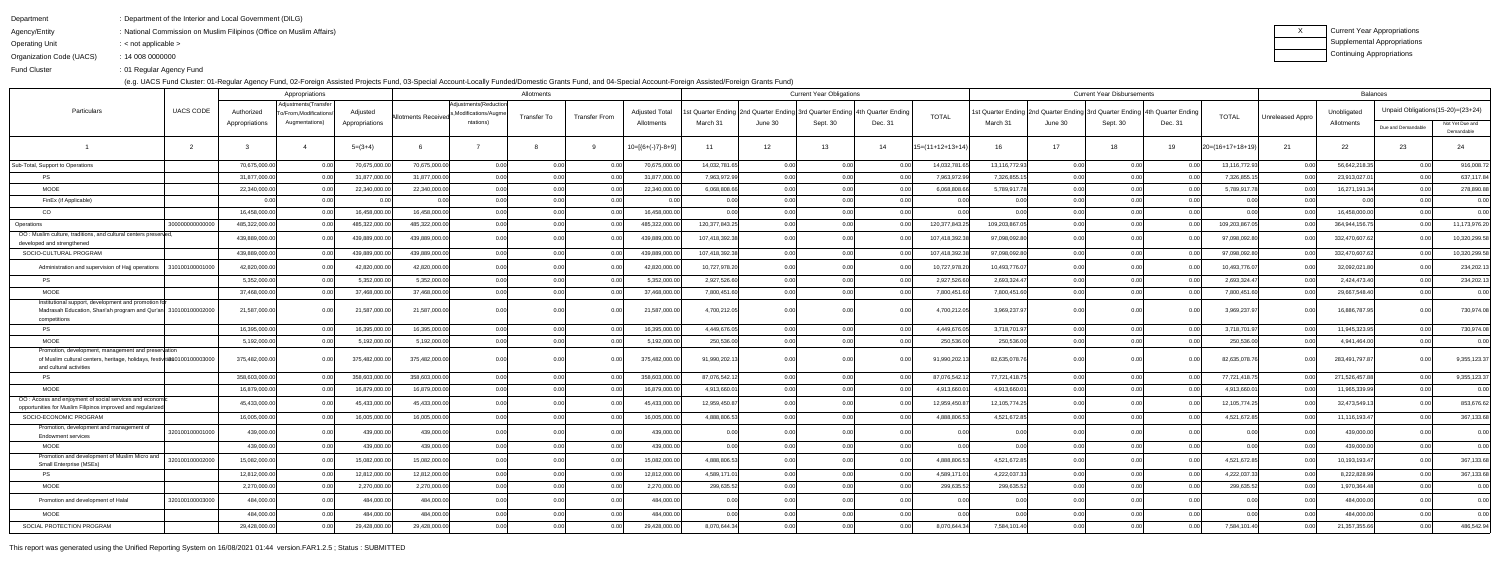Agency/Entity: National Commission on Muslim Filipinos (Office on Muslim Affairs)

Operating Unit : < not applicable >

| Department | : Department of the Interior and Local Government (DILG) |
|------------|----------------------------------------------------------|
|            |                                                          |

Organization Code (UACS)14 008 0000000:

Fund Cluster01 Regular Agency Fund:

(e.g. UACS Fund Cluster: 01-Regular Agency Fund, 02-Foreign Assisted Projects Fund, 03-Special Account-Locally Funded/Domestic Grants Fund, and 04-Special Account-Foreign Assisted/Foreign Grants Fund)

| Current Year Appropriations |
|-----------------------------|
| Supplemental Appropriations |
| Continuing Appropriations   |

|                                                                                                                                                            |                  | Appropriations |                                              |                |                            |                                                 | Allotments     |                      | <b>Current Year Obligations</b> |                                                                            |                |          |         |                    | <b>Current Year Disbursements</b> |                   |                                                                           |         |                    |                  | <b>Balances</b> |                                   |                               |  |  |
|------------------------------------------------------------------------------------------------------------------------------------------------------------|------------------|----------------|----------------------------------------------|----------------|----------------------------|-------------------------------------------------|----------------|----------------------|---------------------------------|----------------------------------------------------------------------------|----------------|----------|---------|--------------------|-----------------------------------|-------------------|---------------------------------------------------------------------------|---------|--------------------|------------------|-----------------|-----------------------------------|-------------------------------|--|--|
| Particulars                                                                                                                                                | <b>UACS CODE</b> | Authorized     | Adjustments(Transfer<br>o/From,Modifications | Adjusted       |                            | Adjustments (Reduction<br>,Modifications/Augme) |                |                      | <b>Adjusted Total</b>           | st Quarter Ending 2nd Quarter Ending 3rd Quarter Ending 4th Quarter Ending |                |          |         | <b>TOTAL</b>       |                                   |                   | st Quarter Ending 2nd Quarter Ending 3rd Quarter Ending 4th Quarter Endin |         |                    |                  | Unobligated     | Unpaid Obligations(15-20)=(23+24) |                               |  |  |
|                                                                                                                                                            |                  | Appropriations | Augmentations)                               | Appropriations | <b>Allotments Received</b> | ntations)                                       | Transfer To    | <b>Transfer From</b> | Allotments                      | March 31                                                                   | June 30        | Sept. 30 | Dec. 31 |                    | March 31                          | June 30           | Sept. 30                                                                  | Dec. 31 | <b>TOTAL</b>       | Unreleased Appro | Allotments      | Due and Demandable                | Not Yet Due and<br>Demandable |  |  |
|                                                                                                                                                            |                  |                |                                              | $5=(3+4)$      |                            |                                                 |                |                      | $10=[6+(-)7]-8+9]$              | 11                                                                         | 12             | 13       | 14      | $15=(11+12+13+14)$ | 16                                | 17                | 18                                                                        | 19      | $20=(16+17+18+19)$ | 21               | 22              | 23                                | 24                            |  |  |
| Sub-Total, Support to Operations                                                                                                                           |                  | 70,675,000.00  |                                              | 70,675,000.00  | 70,675,000.00              | 0.00                                            | 0.0            |                      | 70,675,000.00                   | 14,032,781.65                                                              | 0.00           | 0.00     |         | 14,032,781.65      | 13,116,772.93                     | 0.00              | 0.00                                                                      |         | 13,116,772.93      | 0.00             | 56,642,218.35   | 0.00                              | 916,008.72                    |  |  |
| <b>PS</b>                                                                                                                                                  |                  | 31,877,000.00  |                                              | 31,877,000.00  | 31,877,000.0               | 0.00                                            |                |                      | 31,877,000.00                   | 7,963,972.99                                                               | 0 <sup>0</sup> | 0.00     |         | 7,963,972.99       | 7,326,855.1                       | n nn              | 0.00                                                                      |         | 7,326,855.1        |                  | 23,913,027.0    | 0.00                              | 637,117.84                    |  |  |
| <b>MOOE</b>                                                                                                                                                |                  | 22,340,000.00  |                                              | 22,340,000.00  | 22,340,000.00              | 0.00                                            | 0.00           |                      | 22,340,000.00                   | 6,068,808.66                                                               | 0.00           | 0.00     |         | 6,068,808.6        | 5,789,917.78                      | 0.00              | 0.00                                                                      |         | 5,789,917.78       | 0.00             | 16,271,191.34   | 0.00                              | 278,890.88                    |  |  |
| FinEx (if Applicable)                                                                                                                                      |                  |                |                                              |                |                            | 0.00                                            |                |                      |                                 | 0.00                                                                       |                | 0.00     |         |                    |                                   |                   | 0.OC                                                                      |         |                    |                  |                 |                                   | 0.00                          |  |  |
| CO                                                                                                                                                         |                  | 16,458,000.00  |                                              | 16,458,000.00  | 16,458,000.00              | 0.00                                            | 0 <sup>0</sup> |                      | 16,458,000.00                   | 0.00                                                                       | 0.00           | 0.00     |         | 0.00               |                                   | 0.00              | 0.00                                                                      |         |                    | 0.00             | 16,458,000.00   | 0.00                              | 0.00                          |  |  |
| Operations                                                                                                                                                 | 3000000000000    | 485,322,000.00 |                                              | 485,322,000.00 | 485,322,000.00             | 0.00                                            | 0.00           |                      | 485,322,000.00                  | 120,377,843.25                                                             |                | 0.00     |         | 120,377,843.25     | 109,203,867.0                     | 0.00              |                                                                           |         | 109,203,867.0      | 0.00             | 364,944,156.75  | 0.00                              | 11,173,976.20                 |  |  |
| OO: Muslim culture, traditions, and cultural centers preserved,<br>developed and strengthened                                                              |                  | 439,889,000.00 |                                              | 439,889,000.00 | 439,889,000.0              | 0.00                                            | 0 O            |                      | 439,889,000.00                  | 107,418,392.38                                                             |                |          |         | 107,418,392.3      | 97,098,092.80                     |                   |                                                                           |         | 97,098,092.8       |                  | 332,470,607.62  | 0.001                             | 10,320,299.58                 |  |  |
| SOCIO-CULTURAL PROGRAM                                                                                                                                     |                  | 439,889,000.00 |                                              | 439,889,000.00 | 439,889,000.00             | 0.00                                            | 0.00           |                      | 439,889,000.00                  | 107,418,392.38                                                             | 0.00           | 0.00     |         | 107,418,392.3      | 97,098,092.80                     | 0.00              | 0.OC                                                                      |         | 97,098,092.80      | 0.00             | 332,470,607.62  | 0.00                              | 10,320,299.58                 |  |  |
| Administration and supervision of Hajj operations                                                                                                          | 310100100001000  | 42,820,000.00  |                                              | 42,820,000.00  | 42,820,000.00              | 0.00                                            | 0.00           |                      | 42,820,000.00                   | 10,727,978.20                                                              |                |          |         | 10,727,978.20      | 10,493,776.07                     |                   |                                                                           |         | 10,493,776.07      | - 0.00           | 32,092,021.80   | 0.001                             | 234,202.13                    |  |  |
| <b>PS</b>                                                                                                                                                  |                  | 5,352,000.00   |                                              | 5,352,000.00   | 5,352,000.00               | 0.00                                            | 0.00           | 0.00                 | 5,352,000.00                    | 2,927,526.60                                                               | 0.00           | 0.00     |         | 2,927,526.60       | 2,693,324.47                      | 0.00              | 0.00                                                                      |         | 2,693,324.47       | 0.00             | 2,424,473.40    | 0.00                              | 234,202.13                    |  |  |
| <b>MOOE</b>                                                                                                                                                |                  | 37,468,000.00  |                                              | 37,468,000.00  | 37,468,000.00              | 0.00                                            | 0.00           |                      | 37,468,000.00                   | 7,800,451.60                                                               | 0.00           | 0.00     |         | 7,800,451.60       | 7,800,451.60                      | n nn              | 0 <sub>0</sub>                                                            |         | 7,800,451.60       |                  | 29,667,548.40   | 0.00                              | 0.00                          |  |  |
| Institutional support, development and promotion for<br>Madrasah Education, Shari'ah program and Qur'an 310100100002000<br>competitions                    |                  | 21,587,000.00  |                                              | 21,587,000.00  | 21,587,000.00              | 0.00                                            | 0.00           |                      | 21,587,000.00                   | 4,700,212.05                                                               |                |          |         | 4,700,212.05       | 3,969,237.97                      |                   |                                                                           |         | 3,969,237.97       | 0.00             | 16,886,787.95   | 0. QQ                             | 730,974.08                    |  |  |
| <b>PS</b>                                                                                                                                                  |                  | 16,395,000.00  |                                              | 16,395,000.00  | 16,395,000.00              | 0.00                                            | 0.0            |                      | 16,395,000.00                   | 4,449,676.05                                                               | 0.00           | 0.00     |         | 4,449,676.0        | 3,718,701.97                      | 0.00 <sub>l</sub> | 0.00                                                                      |         | 3,718,701.97       | 0.00             | 11,945,323.95   | 0.00                              | 730,974.08                    |  |  |
| <b>MOOE</b>                                                                                                                                                |                  | 5,192,000.00   |                                              | 5,192,000.00   | 5,192,000.00               | 0.00                                            | 0.00           |                      | 5,192,000.00                    | 250,536.00                                                                 | 0.00           | 0.00     |         | 250,536.00         | 250,536.00                        | 0.00              | 0.00                                                                      |         | 250,536.00         | 0.00             | 4,941,464.00    | 0.001                             | 0.00                          |  |  |
| Promotion, development, management and preservation<br>of Muslim cultural centers, heritage, holidays, festiviti8s0100100003000<br>and cultural activities |                  | 375,482,000.00 |                                              | 375,482,000.00 | 375,482,000.0              | 0.00                                            | 0.00           |                      | 375,482,000.00                  | 91,990,202.13                                                              |                |          |         | 91,990,202.1       | 82,635,078.7                      |                   |                                                                           |         | 82,635,078.76      |                  | 283,491,797.8   |                                   | 9,355,123.37                  |  |  |
| <b>PS</b>                                                                                                                                                  |                  | 358,603,000.00 |                                              | 358,603,000.00 | 358,603,000.00             | 0.00                                            | 0.00           |                      | 358,603,000.00                  | 87,076,542.12                                                              | 0.00           | 0.00     |         | 87,076,542.1       | 77,721,418.75                     | 0.001             | 0.00                                                                      |         | 77,721,418.75      | 0.00             | 271,526,457.88  | 0.00                              | 9,355,123.37                  |  |  |
| <b>MOOE</b>                                                                                                                                                |                  | 16,879,000.00  |                                              | 16,879,000.00  | 16,879,000.00              | 0.00                                            | 0.00           |                      | 16,879,000.00                   | 4,913,660.01                                                               | 0.00           | 0.00     |         | 4,913,660.0        | 4,913,660.0                       | 0.00              | 0.00                                                                      |         | 4,913,660.0        | 0.00             | 11,965,339.99   | 0.00                              | 0.00                          |  |  |
| OO: Access and enjoyment of social services and economic<br>opportunities for Muslim Filipinos improved and regularized                                    |                  | 45,433,000.00  |                                              | 45,433,000.0   | 45,433,000.0               | 0.00                                            |                |                      | 45,433,000.                     | 12,959,450.87                                                              |                |          |         | 12,959,450.8       | 12,105,774.25                     |                   |                                                                           |         | 12,105,774.25      |                  | 32,473,549.1    | 0.001                             | 853,676.62                    |  |  |
| SOCIO-ECONOMIC PROGRAM                                                                                                                                     |                  | 16,005,000.00  |                                              | 16,005,000.00  | 16,005,000.00              | 0.00                                            | 0.00           | n nr                 | 16,005,000.00                   | 4,888,806.53                                                               | 0.00           | 0.00     |         | 4,888,806.5        | 4,521,672.85                      | n ool             | 0.00                                                                      |         | 4,521,672.85       | 0.00             | 11,116,193.47   | 0.00                              | 367,133.68                    |  |  |
| Promotion, development and management of<br><b>Endowment services</b>                                                                                      | 320100100001000  | 439,000.0      |                                              | 439,000.0      | 439,000.0                  | 0.00                                            |                |                      | 439,000.00                      |                                                                            |                |          |         |                    |                                   |                   |                                                                           |         |                    |                  | 439,000.0       |                                   | 0.00                          |  |  |
| MOOE                                                                                                                                                       |                  | 439,000.00     |                                              | 439,000.00     | 439,000.00                 | 0.00                                            | 0.00           | 0.00                 | 439,000.00                      | 0.00                                                                       | 0.00           | 0.00     | 0.00    | 0.00               | 0.00                              |                   | 0.00                                                                      |         | 0.00l              | 0.00             | 439,000.00      | 0.00                              | 0.00                          |  |  |
| Promotion and development of Muslim Micro and<br>Small Enterprise (MSEs)                                                                                   | 320100100002000  | 15,082,000.00  |                                              | 15,082,000.00  | 15,082,000.00              | 0.00                                            | 0.00           | 0 <sub>0</sub>       | 15,082,000.00                   | 4,888,806.53                                                               |                |          |         | 4,888,806.53       | 4,521,672.85                      |                   | 0.001                                                                     |         | 4,521,672.85       | 0.00             | 10,193,193.47   | 0.00 <sub>l</sub>                 | 367,133.68                    |  |  |
| <b>PS</b>                                                                                                                                                  |                  | 12,812,000.00  | በ በበ                                         | 12,812,000.00  | 12,812,000.00              | 0.00                                            | 0.00           | 0.00                 | 12,812,000.00                   | 4,589,171.01                                                               | 0.00           | 0.00     | n nr    | 4,589,171.01       | 4,222,037.33                      | 0.001             | 0.00                                                                      | 0 Q     | 4,222,037.33       | 0.00             | 8,222,828.99    | 0.00                              | 367,133.68                    |  |  |
| <b>MOOE</b>                                                                                                                                                |                  | 2,270,000.00   |                                              | 2,270,000.00   | 2,270,000.00               | 0.00                                            | 0.00           | 0.00                 | 2,270,000.00                    | 299,635.52                                                                 | 0.00           | 0.00     |         | 299,635.52         | 299,635.52                        | 0.001             | 0.00                                                                      |         | 299,635.52         | 0.00             | 1,970,364.48    | 0.00                              | 0.00                          |  |  |
| Promotion and development of Halal                                                                                                                         | 320100100003000  | 484,000.00     |                                              | 484,000.00     | 484,000.00                 | 0.00                                            | n or           | 0.00                 | 484,000.00                      | 0.00                                                                       |                | 0.00     |         | 0.00               |                                   |                   | 0.00                                                                      |         | 0.00               | 0.00             | 484,000.00      | 0.00                              | 0.00                          |  |  |
| MOOE                                                                                                                                                       |                  | 484,000.00     |                                              | 484,000.00     | 484,000.00                 | 0.00                                            | 0.00           | 0.00                 | 484,000.00                      | 0.00                                                                       | 0.00           | 0.00     |         | 0.00               | 0.00                              | 0.00              | 0.00                                                                      | 0.0     | 0.00               | 0.00             | 484,000.00      | 0.00                              | 0.00                          |  |  |
| SOCIAL PROTECTION PROGRAM                                                                                                                                  |                  | 29,428,000.00  |                                              | 29,428,000.00  | 29,428,000.00              | 0.00                                            | 0.00           |                      | 29,428,000.00                   | 8,070,644.34                                                               | 0.00           | 0.00     |         | 8,070,644.34       | 7,584,101.40                      | 0.00              | 0.00                                                                      |         | 7,584,101.40       | 0.00             | 21,357,355.66   | 0.00                              | 486,542.94                    |  |  |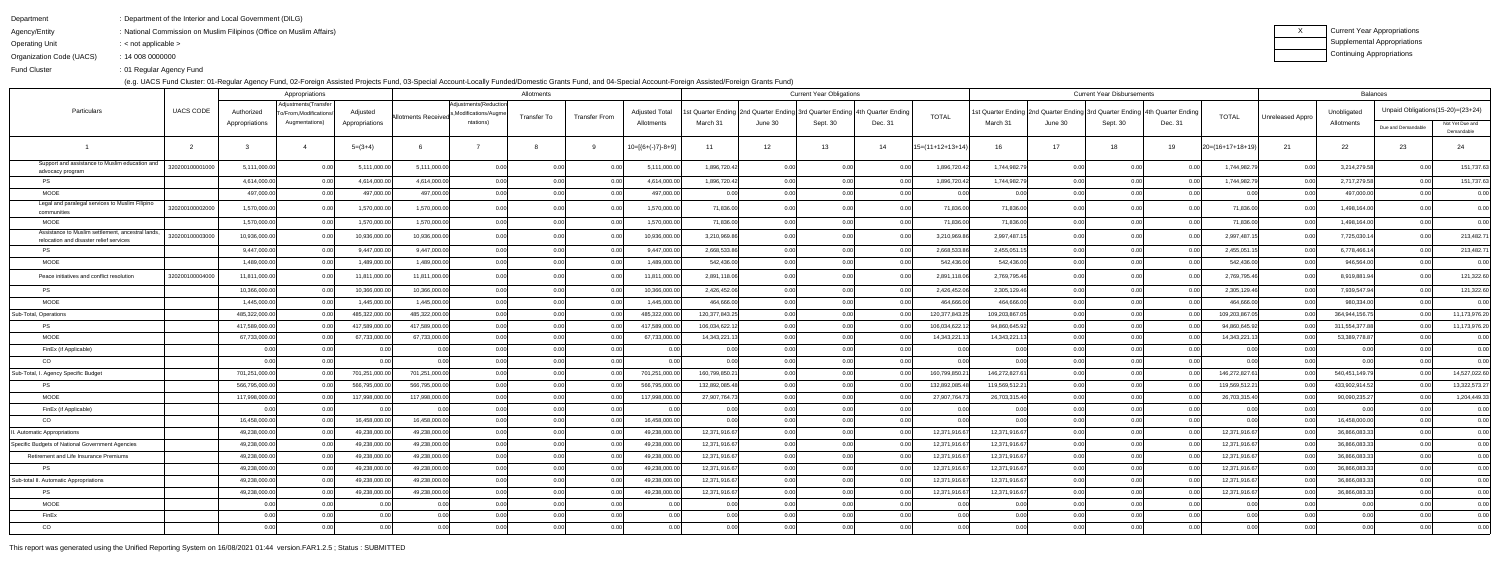Department: Department of the Interior and Local Government (DILG)

Agency/Entity: National Commission on Muslim Filipinos (Office on Muslim Affairs)

Operating Unit: < not applicable >

| Current Year Appropriations |
|-----------------------------|
| Supplemental Appropriations |
| Continuing Appropriations   |

Organization Code (UACS)14 008 0000000:

Fund Cluster01 Regular Agency Fund:

(e.g. UACS Fund Cluster: 01-Regular Agency Fund, 02-Foreign Assisted Projects Fund, 03-Special Account-Locally Funded/Domestic Grants Fund, and 04-Special Account-Foreign Assisted/Foreign Grants Fund)

|                                                                                              |                  | Appropriations |                                              | Allotments     |                     |                                              |             |                      | <b>Current Year Obligations</b> |                                                                            |                            |          |         |                    |                                                                            | <b>Current Year Disbursements</b> |                |         | Balances           |                  |                |                                   |                               |
|----------------------------------------------------------------------------------------------|------------------|----------------|----------------------------------------------|----------------|---------------------|----------------------------------------------|-------------|----------------------|---------------------------------|----------------------------------------------------------------------------|----------------------------|----------|---------|--------------------|----------------------------------------------------------------------------|-----------------------------------|----------------|---------|--------------------|------------------|----------------|-----------------------------------|-------------------------------|
| Particulars                                                                                  | <b>UACS CODE</b> | Authorized     | Adjustments(Transfer<br>o/From.Modifications | Adjusted       | Allotments Received | Adjustments (Reduction<br>Modifications/Augm | Transfer To | <b>Transfer From</b> | <b>Adjusted Total</b>           | st Quarter Ending 2nd Quarter Ending 3rd Quarter Ending 4th Quarter Ending |                            |          |         | <b>TOTAL</b>       | st Quarter Ending 2nd Quarter Ending 3rd Quarter Ending 4th Quarter Ending |                                   |                |         | <b>TOTAL</b>       | Unreleased Appro | Unobligated    | Unpaid Obligations(15-20)=(23+24) |                               |
|                                                                                              |                  | Appropriations | Augmentations)                               | Appropriations |                     | ntations)                                    |             |                      | Allotments                      | March 31                                                                   | June 30                    | Sept. 30 | Dec. 31 |                    | March 31                                                                   | June 30                           | Sept. 30       | Dec. 31 |                    |                  | Allotments     | Due and Demandable                | Not Yet Due and<br>Demandable |
|                                                                                              |                  |                |                                              | $5=(3+4)$      |                     |                                              |             |                      | $10=[(6+(-)7)-8+9]$             | 11                                                                         | 12                         | 13       | 14      | $15=(11+12+13+14)$ | 16                                                                         | 17                                | 18             | 19      | $20=(16+17+18+19)$ | 21               | 22             | 23                                | 24                            |
| Support and assistance to Muslim education and<br>advocacy program                           | 320200100001000  | 5,111,000.00   |                                              | 5,111,000.00   | 5,111,000.00        |                                              | 0 O         |                      | 5,111,000.00                    | 1,896,720.42                                                               |                            |          |         | 1,896,720.42       | 1,744,982.79                                                               |                                   |                |         | 1,744,982.7        | 0.00             | 3,214,279.58   | 0.00 <sub>l</sub>                 | 151,737.63                    |
| <b>PS</b>                                                                                    |                  | 4,614,000.00   |                                              | 4,614,000.00   | 4,614,000.00        | 0.00                                         | 0.00        |                      | 4,614,000.00                    | 1,896,720.42                                                               | 0 <sub>0</sub>             | 0.00     |         | 1,896,720.42       | 1,744,982.79                                                               | 0.001                             | n nr           |         | 1,744,982.7        | 0.00             | 2,717,279.58   | 0.00 <sub>l</sub>                 | 151,737.63                    |
| <b>MOOE</b>                                                                                  |                  | 497,000.00     |                                              | 497,000.00     | 497,000.00          | 0.00                                         | 0.00        |                      | 497,000.00                      | 0.00                                                                       |                            | 0.00     |         | 0.00               | 0.00                                                                       | n onl                             | 0 <sub>0</sub> |         | 0.00               | 0.00             | 497,000.00     | 0.00                              | 0.00                          |
| Legal and paralegal services to Muslim Filipino<br>communities                               | 32020010000200   | 1,570,000.00   |                                              | 1,570,000.00   | 1,570,000.00        | 0.00                                         | 0.00        |                      | 1,570,000.00                    | 71,836.00                                                                  |                            | 0.00     |         | 71,836.00          | 71,836.00                                                                  |                                   |                |         | 71,836.00          | 0.00             | 1,498,164.00   |                                   | 0.00                          |
| <b>MOOE</b>                                                                                  |                  | 1,570,000.00   |                                              | 1,570,000.00   | 1,570,000.00        | 0.00                                         | 0.00        |                      | 1,570,000.00                    | 71,836.00                                                                  | 0.00                       | 0.00     |         | 71,836.00          | 71,836.00                                                                  | 0.001                             | n nr           |         | 71,836.00          | 0.00             | 1,498,164.00   | 0.00                              | 0.00                          |
| Assistance to Muslim settlement, ancestral lands,<br>relocation and disaster relief services | 32020010000300   | 10,936,000.00  |                                              | 10,936,000.00  | 10,936,000.00       | 0.00                                         | 0.00        |                      | 10,936,000.00                   | 3,210,969.86                                                               |                            | 0.00     |         | 3,210,969.86       | 2,997,487.1                                                                |                                   |                |         | 2,997,487.1        | 0.00             | 7,725,030.14   | 0.00                              | 213,482.71                    |
| <b>PS</b>                                                                                    |                  | 9,447,000.00   |                                              | 9,447,000.00   | 9,447,000.00        | 0.00                                         | 0.00        |                      | 9,447,000.00                    | 2,668,533.86                                                               | 0 <sup>0<sup>c</sup></sup> | 0.00     |         | 2,668,533.8        | 2,455,051.1                                                                | 0.001                             | n nr           |         | 2,455,051.1        | 0.00             | 6,778,466.1    | 0.00                              | 213,482.71                    |
| <b>MOOE</b>                                                                                  |                  | 1,489,000.00   |                                              | 1,489,000.00   | 1,489,000.00        | 0.00                                         | 0.00        |                      | 1,489,000.00                    | 542,436.00                                                                 |                            | 0.00     |         | 542,436.00         | 542,436.00                                                                 | 0.001                             | 0.OC           |         | 542,436.00         | 0.00             | 946,564.00     | 0.00                              | 0.00                          |
| Peace initiatives and conflict resolution                                                    | 320200100004000  | 11,811,000.00  |                                              | 11,811,000.00  | 11,811,000.00       | 0.00                                         | 0.00        |                      | 11,811,000.00                   | 2,891,118.06                                                               |                            |          |         | 2,891,118.0        | 2,769,795.46                                                               |                                   |                |         | 2,769,795.46       | -0.00            | 8,919,881.94   | 0.00                              | 121,322.60                    |
| <b>PS</b>                                                                                    |                  | 10,366,000.00  |                                              | 10,366,000.00  | 10,366,000.00       | 0.00                                         | 0.00        |                      | 10,366,000.00                   | 2,426,452.06                                                               | n ool                      | 0.00     |         | 2,426,452.06       | 2,305,129.46                                                               | 0.00                              | 0.00           |         | 2,305,129.46       | 0.00             | 7,939,547.94   | 0.00                              | 121,322.60                    |
| <b>MOOE</b>                                                                                  |                  | 1,445,000.00   |                                              | 1,445,000.00   | 1,445,000.00        | 0.00                                         | 0.00        |                      | 1,445,000.00                    | 464,666.00                                                                 |                            | 0.00     |         | 464,666.00         | 464,666.00                                                                 | 0.00 <sub>l</sub>                 |                |         | 464,666.00         | 0.00             | 980,334.00     | 0.00                              | 0.00                          |
| Sub-Total, Operations                                                                        |                  | 485,322,000.00 |                                              | 485,322,000.00 | 485,322,000.00      | 0.00                                         | 0.00        |                      | 485,322,000.00                  | 120,377,843.25                                                             |                            | 0.00     |         | 120,377,843.25     | 109,203,867.0                                                              | 0.00 <sub>l</sub>                 | 0.00           |         | 109,203,867.0      | 0.00             | 364,944,156.75 | 0.00                              | 11,173,976.20                 |
| <b>PS</b>                                                                                    |                  | 417,589,000.00 |                                              | 417,589,000.00 | 417,589,000.00      | 0.00                                         | 0.00        |                      | 417,589,000.00                  | 106,034,622.12                                                             |                            | 0.00     |         | 106,034,622.1      | 94,860,645.92                                                              | 0.00 <sub>l</sub>                 | n nr           |         | 94,860,645.92      | 0.00             | 311,554,377.88 | 0.001                             | 11,173,976.20                 |
| MOOE                                                                                         |                  | 67,733,000.00  |                                              | 67,733,000.00  | 67,733,000.00       | 0.00                                         | 0.00        |                      | 67,733,000.00                   | 14,343,221.13                                                              |                            | 0.00     |         | 14,343,221.1       | 14,343,221.1                                                               | 0.001                             | n nr           |         | 14,343,221.13      |                  | 53,389,778.87  | 0.001                             | 0.00                          |
| FinEx (if Applicable)                                                                        |                  | 0.00           |                                              | 0.00           | 0.00                | 0.00                                         | 0.00        |                      | 0.00                            | 0.00                                                                       |                            | 0.00     |         | 0.00               | 0.00                                                                       | 0.00                              | 0.00           |         | 0.001              | 0.00             | 0.0            | 0.00                              | 0.00                          |
| CO                                                                                           |                  | 0.00           |                                              | 0.00           |                     | 0.00                                         | 0.00        |                      | 0.001                           | 0.00                                                                       |                            | 0.00     |         | 0.00               |                                                                            | 0.00                              | n nr           |         | 0.00               | 0.00             |                | 0.00                              | 0.00                          |
| Sub-Total, I. Agency Specific Budget                                                         |                  | 701,251,000.00 |                                              | 701,251,000.00 | 701,251,000.00      | 0.00                                         | 0.00        |                      | 701,251,000.00                  | 160,799,850.21                                                             |                            | 0.00     |         | 160,799,850.2      | 146,272,827.6                                                              | 0.00 <sub>l</sub>                 | n nr           |         | 146,272,827.61     | 0.00             | 540,451,149.79 | 0.00                              | 14,527,022.60                 |
| <b>PS</b>                                                                                    |                  | 566,795,000.00 |                                              | 566,795,000.00 | 566,795,000.00      | 0.00                                         | 0.00        |                      | 566,795,000.00                  | 132,892,085.48                                                             | 0 <sup>0<sup>c</sup></sup> | 0.00     |         | 132,892,085.4      | 119,569,512.21                                                             | 0.00                              | 0.00           |         | 119,569,512.21     | 0.00             | 433,902,914.52 | 0.00                              | 13,322,573.27                 |
| MOOE                                                                                         |                  | 117,998,000.00 |                                              | 117,998,000.00 | 117,998,000.00      | 0.00                                         | 0.00        |                      | 117,998,000.00                  | 27,907,764.73                                                              |                            | 0.00     |         | 27,907,764.7       | 26,703,315.40                                                              | 0.001                             |                |         | 26,703,315.40      |                  | 90,090,235.27  | 0.00                              | 1,204,449.33                  |
| FinEx (if Applicable)                                                                        |                  | 0.001          |                                              | 0.00           |                     | 0.00                                         | 0.00        |                      | 0.001                           | 0.00                                                                       |                            | 0.00     |         | 0.00               | 0.00                                                                       | 0.00                              | 0.00           |         | 0.00               | 0.00             | 00             | 0.00                              | 0.00                          |
| CO                                                                                           |                  | 16,458,000.00  |                                              | 16,458,000.00  | 16,458,000.00       | 0.00                                         | 0.00        |                      | 16,458,000.00                   | 0.00                                                                       |                            | 0.00     |         | 0.00               |                                                                            | 0.00                              | 0.OC           |         | 0.00               | 0.00             | 16,458,000.0   | 0.00                              | 0.00                          |
| <b>Automatic Appropriations</b>                                                              |                  | 49,238,000.00  |                                              | 49,238,000.00  | 49,238,000.00       | 0.00                                         | 0.00        |                      | 49,238,000.00                   | 12,371,916.67                                                              |                            | 0.00     |         | 12,371,916.67      | 12,371,916.67                                                              | 0.00                              | 0.00           |         | 12,371,916.67      | 0.00             | 36,866,083.3   | 0.00                              | 0.00                          |
| Specific Budgets of National Government Agencies                                             |                  | 49,238,000.00  | 0.00                                         | 49,238,000.00  | 49,238,000.00       | 0.00                                         | 0.00        | 0.00                 | 49,238,000.00                   | 12,371,916.67                                                              | 0.00                       | 0.00     | 0.00    | 12,371,916.67      | 12,371,916.67                                                              | 0.00                              | 0.00           | 0.00    | 12,371,916.67      | 0.00             | 36,866,083.33  | 0.00                              | 0.00                          |
| Retirement and Life Insurance Premiums                                                       |                  | 49,238,000.00  |                                              | 49,238,000.00  | 49,238,000.00       | 0.00                                         | 0.00        | 0.00                 | 49,238,000.00                   | 12,371,916.67                                                              | 0.00                       | 0.00     |         | 12,371,916.67      | 12,371,916.67                                                              | 0.00l                             | 0.00           | 0.00    | 12,371,916.67      | 0.00             | 36,866,083.33  | 0.00                              | 0.00                          |
| PS                                                                                           |                  | 49,238,000.00  |                                              | 49,238,000.00  | 49,238,000.00       | 0.00                                         | 0.00        | 0.00                 | 49,238,000.00                   | 12,371,916.67                                                              | 0.00                       | 0.00     |         | 12,371,916.67      | 12,371,916.67                                                              | 0.00                              | 0.00           | 0.00    | 12,371,916.67      | 0.00             | 36,866,083.33  | 0.00                              | 0.00                          |
| Sub-total II. Automatic Appropriations                                                       |                  | 49,238,000.00  |                                              | 49,238,000.00  | 49,238,000.00       | 0.00                                         | 0.00        | 0.00                 | 49,238,000.00                   | 12,371,916.67                                                              | 0.00                       | 0.00     |         | 12,371,916.67      | 12,371,916.67                                                              | 0.00                              | 0.00           | 0.00    | 12,371,916.67      | 0.00             | 36,866,083.33  | 0.00                              | 0.00                          |
| PS                                                                                           |                  | 49,238,000.00  |                                              | 49,238,000.00  | 49,238,000.00       | 0.00                                         | 0.00        | 0.00                 | 49,238,000.00                   | 12,371,916.67                                                              | 0.00                       | 0.00     |         | 12,371,916.67      | 12,371,916.67                                                              | 0.00                              | 0.00           |         | 12,371,916.67      | 0.00             | 36,866,083.33  | 0.00                              | 0.00                          |
| <b>MOOE</b>                                                                                  |                  | 0.00           | 0.001                                        | 0.00           | 0.00                | 0.00                                         | 0.00        | 0.00                 | 0.00                            | 0.00                                                                       | 0.00                       | 0.00     | 0.001   | 0.00               | 0.00                                                                       | 0.00l                             | 0.00           | 0.00    | 0.00               | 0.00             | 0.00           | 0.00 <sub>l</sub>                 | 0.00                          |
| FinEx                                                                                        |                  | 0.00           |                                              | 0.00           | 0.00                | 0.00                                         | 0.00        |                      | 0.00                            | 0.00                                                                       |                            | 0.00     |         | 0.00               | 0.00                                                                       | 0.00                              | 0.00           |         | 0.00               | 0.00             | 0.00           | 0.00                              | 0.00                          |
| CO                                                                                           |                  | 0.00           |                                              | 0.00           | 0.00                | 0.00                                         | 0.00        |                      | 0.00                            | 0.00                                                                       | 0.00                       | 0.00     |         | 0.00               | 0.00                                                                       | 0.00                              | 0.00           |         | 0.00               | 0.00             | 0.00           | 0.00                              | 0.00                          |